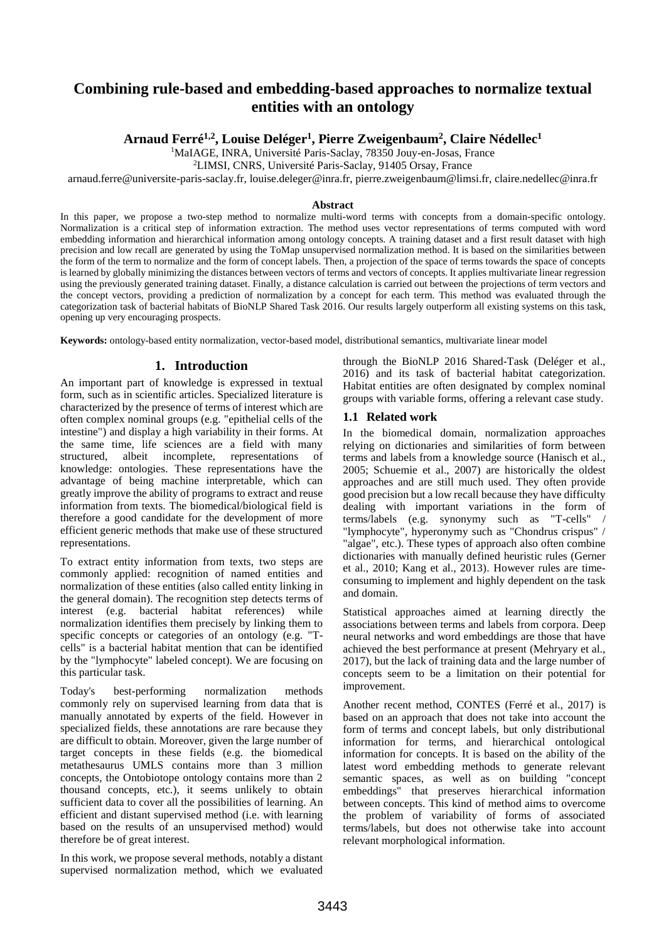# **Combining rule-based and embedding-based approaches to normalize textual entities with an ontology**

## **Arnaud Ferré1,2 , Louise Deléger<sup>1</sup> , Pierre Zweigenbaum<sup>2</sup> , Claire Nédellec<sup>1</sup>**

<sup>1</sup>MaIAGE, INRA, Université Paris-Saclay, 78350 Jouy-en-Josas, France

<sup>2</sup>LIMSI, CNRS, Université Paris-Saclay, 91405 Orsay, France

arnaud.ferre@universite-paris-saclay.fr, louise.deleger@inra.fr, pierre.zweigenbaum@limsi.fr, claire.nedellec@inra.fr

#### **Abstract**

In this paper, we propose a two-step method to normalize multi-word terms with concepts from a domain-specific ontology. Normalization is a critical step of information extraction. The method uses vector representations of terms computed with word embedding information and hierarchical information among ontology concepts. A training dataset and a first result dataset with high precision and low recall are generated by using the ToMap unsupervised normalization method. It is based on the similarities between the form of the term to normalize and the form of concept labels. Then, a projection of the space of terms towards the space of concepts is learned by globally minimizing the distances between vectors of terms and vectors of concepts. It applies multivariate linear regression using the previously generated training dataset. Finally, a distance calculation is carried out between the projections of term vectors and the concept vectors, providing a prediction of normalization by a concept for each term. This method was evaluated through the categorization task of bacterial habitats of BioNLP Shared Task 2016. Our results largely outperform all existing systems on this task, opening up very encouraging prospects.

**Keywords:** ontology-based entity normalization, vector-based model, distributional semantics, multivariate linear model

#### **1. Introduction**

An important part of knowledge is expressed in textual form, such as in scientific articles. Specialized literature is characterized by the presence of terms of interest which are often complex nominal groups (e.g. "epithelial cells of the intestine") and display a high variability in their forms. At the same time, life sciences are a field with many structured, albeit incomplete, representations of knowledge: ontologies. These representations have the advantage of being machine interpretable, which can greatly improve the ability of programs to extract and reuse information from texts. The biomedical/biological field is therefore a good candidate for the development of more efficient generic methods that make use of these structured representations.

To extract entity information from texts, two steps are commonly applied: recognition of named entities and normalization of these entities (also called entity linking in the general domain). The recognition step detects terms of interest (e.g. bacterial habitat references) while normalization identifies them precisely by linking them to specific concepts or categories of an ontology (e.g. "Tcells" is a bacterial habitat mention that can be identified by the "lymphocyte" labeled concept). We are focusing on this particular task.

Today's best-performing normalization methods commonly rely on supervised learning from data that is manually annotated by experts of the field. However in specialized fields, these annotations are rare because they are difficult to obtain. Moreover, given the large number of target concepts in these fields (e.g. the biomedical metathesaurus UMLS contains more than 3 million concepts, the Ontobiotope ontology contains more than 2 thousand concepts, etc.), it seems unlikely to obtain sufficient data to cover all the possibilities of learning. An efficient and distant supervised method (i.e. with learning based on the results of an unsupervised method) would therefore be of great interest.

In this work, we propose several methods, notably a distant supervised normalization method, which we evaluated

through the BioNLP 2016 Shared-Task (Deléger et al., 2016) and its task of bacterial habitat categorization. Habitat entities are often designated by complex nominal groups with variable forms, offering a relevant case study.

#### **1.1 Related work**

In the biomedical domain, normalization approaches relying on dictionaries and similarities of form between terms and labels from a knowledge source (Hanisch et al., 2005; Schuemie et al., 2007) are historically the oldest approaches and are still much used. They often provide good precision but a low recall because they have difficulty dealing with important variations in the form of terms/labels (e.g. synonymy such as "T-cells" / "lymphocyte", hyperonymy such as "Chondrus crispus" / "algae", etc.). These types of approach also often combine dictionaries with manually defined heuristic rules (Gerner et al., 2010; Kang et al., 2013). However rules are timeconsuming to implement and highly dependent on the task and domain.

Statistical approaches aimed at learning directly the associations between terms and labels from corpora. Deep neural networks and word embeddings are those that have achieved the best performance at present (Mehryary et al., 2017), but the lack of training data and the large number of concepts seem to be a limitation on their potential for improvement.

Another recent method, CONTES (Ferré et al., 2017) is based on an approach that does not take into account the form of terms and concept labels, but only distributional information for terms, and hierarchical ontological information for concepts. It is based on the ability of the latest word embedding methods to generate relevant semantic spaces, as well as on building "concept embeddings" that preserves hierarchical information between concepts. This kind of method aims to overcome the problem of variability of forms of associated terms/labels, but does not otherwise take into account relevant morphological information.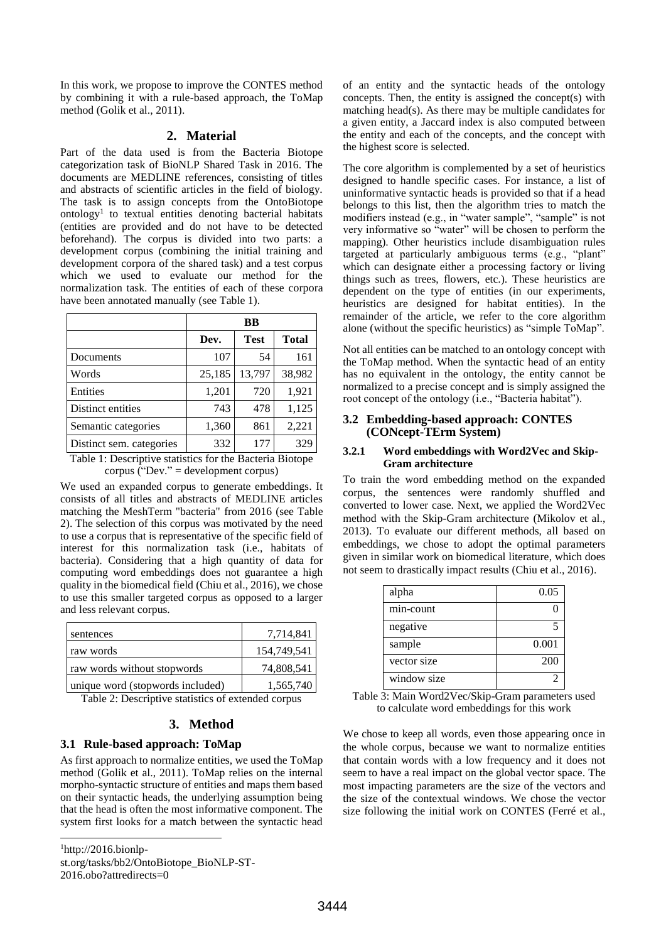In this work, we propose to improve the CONTES method by combining it with a rule-based approach, the ToMap method (Golik et al., 2011).

#### **2. Material**

Part of the data used is from the Bacteria Biotope categorization task of BioNLP Shared Task in 2016. The documents are MEDLINE references, consisting of titles and abstracts of scientific articles in the field of biology. The task is to assign concepts from the OntoBiotope ontology<sup>1</sup> to textual entities denoting bacterial habitats (entities are provided and do not have to be detected beforehand). The corpus is divided into two parts: a development corpus (combining the initial training and development corpora of the shared task) and a test corpus which we used to evaluate our method for the normalization task. The entities of each of these corpora have been annotated manually (see [Table 1\)](#page-1-0).

|                          | BB     |             |              |
|--------------------------|--------|-------------|--------------|
|                          | Dev.   | <b>Test</b> | <b>Total</b> |
| Documents                | 107    | 54          | 161          |
| Words                    | 25,185 | 13,797      | 38,982       |
| Entities                 | 1,201  | 720         | 1,921        |
| Distinct entities        | 743    | 478         | 1,125        |
| Semantic categories      | 1,360  | 861         | 2,221        |
| Distinct sem. categories | 332    | 177         | 329          |

<span id="page-1-0"></span>Table 1: Descriptive statistics for the Bacteria Biotope corpus ("Dev." = development corpus)

We used an expanded corpus to generate embeddings. It consists of all titles and abstracts of MEDLINE articles matching the MeshTerm "bacteria" from 2016 (see [Table](#page-1-1)  [2\)](#page-1-1). The selection of this corpus was motivated by the need to use a corpus that is representative of the specific field of interest for this normalization task (i.e., habitats of bacteria). Considering that a high quantity of data for computing word embeddings does not guarantee a high quality in the biomedical field (Chiu et al., 2016), we chose to use this smaller targeted corpus as opposed to a larger and less relevant corpus.

| sentences                        | 7,714,841   |
|----------------------------------|-------------|
| raw words                        | 154,749,541 |
| raw words without stopwords      | 74,808,541  |
| unique word (stopwords included) | 1,565,740   |

<span id="page-1-1"></span>Table 2: Descriptive statistics of extended corpus

#### **3. Method**

#### **3.1 Rule-based approach: ToMap**

As first approach to normalize entities, we used the ToMap method (Golik et al., 2011). ToMap relies on the internal morpho-syntactic structure of entities and maps them based on their syntactic heads, the underlying assumption being that the head is often the most informative component. The system first looks for a match between the syntactic head

 $<sup>1</sup>$ http://2016.bionlp-</sup> st.org/tasks/bb2/OntoBiotope\_BioNLP-ST-2016.obo?attredirects=0

l

of an entity and the syntactic heads of the ontology concepts. Then, the entity is assigned the concept(s) with matching head(s). As there may be multiple candidates for a given entity, a Jaccard index is also computed between the entity and each of the concepts, and the concept with the highest score is selected.

The core algorithm is complemented by a set of heuristics designed to handle specific cases. For instance, a list of uninformative syntactic heads is provided so that if a head belongs to this list, then the algorithm tries to match the modifiers instead (e.g., in "water sample", "sample" is not very informative so "water" will be chosen to perform the mapping). Other heuristics include disambiguation rules targeted at particularly ambiguous terms (e.g., "plant" which can designate either a processing factory or living things such as trees, flowers, etc.). These heuristics are dependent on the type of entities (in our experiments, heuristics are designed for habitat entities). In the remainder of the article, we refer to the core algorithm alone (without the specific heuristics) as "simple ToMap".

Not all entities can be matched to an ontology concept with the ToMap method. When the syntactic head of an entity has no equivalent in the ontology, the entity cannot be normalized to a precise concept and is simply assigned the root concept of the ontology (i.e., "Bacteria habitat").

#### **3.2 Embedding-based approach: CONTES (CONcept-TErm System)**

#### **3.2.1 Word embeddings with Word2Vec and Skip-Gram architecture**

To train the word embedding method on the expanded corpus, the sentences were randomly shuffled and converted to lower case. Next, we applied the Word2Vec method with the Skip-Gram architecture (Mikolov et al., 2013). To evaluate our different methods, all based on embeddings, we chose to adopt the optimal parameters given in similar work on biomedical literature, which does not seem to drastically impact results (Chiu et al., 2016).

| alpha       | 0.05  |
|-------------|-------|
| min-count   |       |
| negative    |       |
| sample      | 0.001 |
| vector size | 200   |
| window size |       |

<span id="page-1-2"></span>Table 3: Main Word2Vec/Skip-Gram parameters used to calculate word embeddings for this work

We chose to keep all words, even those appearing once in the whole corpus, because we want to normalize entities that contain words with a low frequency and it does not seem to have a real impact on the global vector space. The most impacting parameters are the size of the vectors and the size of the contextual windows. We chose the vector size following the initial work on CONTES (Ferré et al.,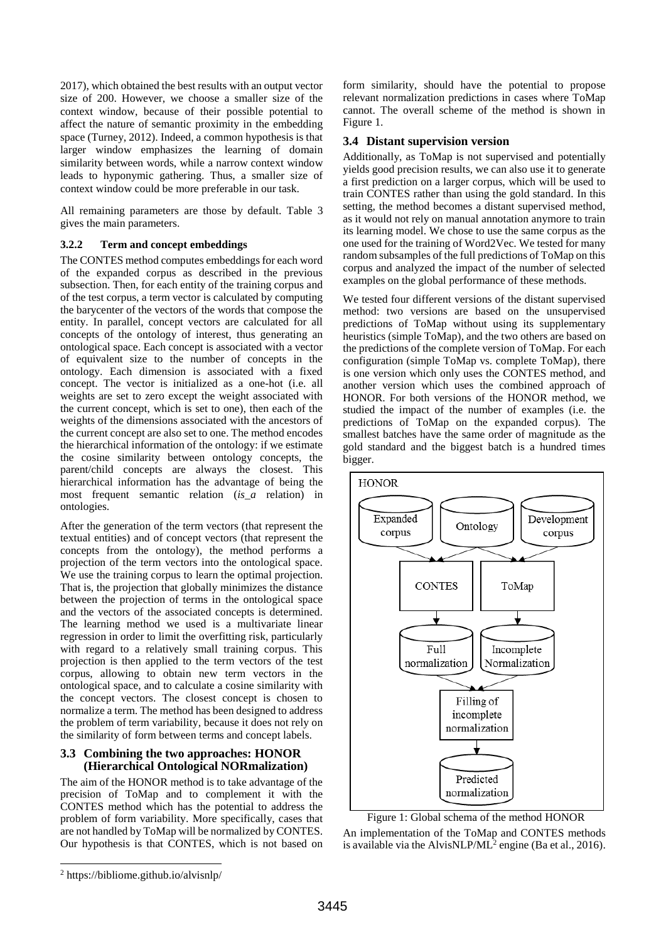2017), which obtained the best results with an output vector size of 200. However, we choose a smaller size of the context window, because of their possible potential to affect the nature of semantic proximity in the embedding space (Turney, 2012). Indeed, a common hypothesis is that larger window emphasizes the learning of domain similarity between words, while a narrow context window leads to hyponymic gathering. Thus, a smaller size of context window could be more preferable in our task.

All remaining parameters are those by default. [Table 3](#page-1-2) gives the main parameters.

#### **3.2.2 Term and concept embeddings**

The CONTES method computes embeddings for each word of the expanded corpus as described in the previous subsection. Then, for each entity of the training corpus and of the test corpus, a term vector is calculated by computing the barycenter of the vectors of the words that compose the entity. In parallel, concept vectors are calculated for all concepts of the ontology of interest, thus generating an ontological space. Each concept is associated with a vector of equivalent size to the number of concepts in the ontology. Each dimension is associated with a fixed concept. The vector is initialized as a one-hot (i.e. all weights are set to zero except the weight associated with the current concept, which is set to one), then each of the weights of the dimensions associated with the ancestors of the current concept are also set to one. The method encodes the hierarchical information of the ontology: if we estimate the cosine similarity between ontology concepts, the parent/child concepts are always the closest. This hierarchical information has the advantage of being the most frequent semantic relation (*is\_a* relation) in ontologies.

After the generation of the term vectors (that represent the textual entities) and of concept vectors (that represent the concepts from the ontology), the method performs a projection of the term vectors into the ontological space. We use the training corpus to learn the optimal projection. That is, the projection that globally minimizes the distance between the projection of terms in the ontological space and the vectors of the associated concepts is determined. The learning method we used is a multivariate linear regression in order to limit the overfitting risk, particularly with regard to a relatively small training corpus. This projection is then applied to the term vectors of the test corpus, allowing to obtain new term vectors in the ontological space, and to calculate a cosine similarity with the concept vectors. The closest concept is chosen to normalize a term. The method has been designed to address the problem of term variability, because it does not rely on the similarity of form between terms and concept labels.

## **3.3 Combining the two approaches: HONOR (Hierarchical Ontological NORmalization)**

The aim of the HONOR method is to take advantage of the precision of ToMap and to complement it with the CONTES method which has the potential to address the problem of form variability. More specifically, cases that are not handled by ToMap will be normalized by CONTES. Our hypothesis is that CONTES, which is not based on

form similarity, should have the potential to propose relevant normalization predictions in cases where ToMap cannot. The overall scheme of the method is shown in [Figure 1.](#page-2-0)

#### **3.4 Distant supervision version**

Additionally, as ToMap is not supervised and potentially yields good precision results, we can also use it to generate a first prediction on a larger corpus, which will be used to train CONTES rather than using the gold standard. In this setting, the method becomes a distant supervised method, as it would not rely on manual annotation anymore to train its learning model. We chose to use the same corpus as the one used for the training of Word2Vec. We tested for many random subsamples of the full predictions of ToMap on this corpus and analyzed the impact of the number of selected examples on the global performance of these methods.

We tested four different versions of the distant supervised method: two versions are based on the unsupervised predictions of ToMap without using its supplementary heuristics (simple ToMap), and the two others are based on the predictions of the complete version of ToMap. For each configuration (simple ToMap vs. complete ToMap), there is one version which only uses the CONTES method, and another version which uses the combined approach of HONOR. For both versions of the HONOR method, we studied the impact of the number of examples (i.e. the predictions of ToMap on the expanded corpus). The smallest batches have the same order of magnitude as the gold standard and the biggest batch is a hundred times bigger.



<span id="page-2-0"></span>Figure 1: Global schema of the method HONOR

An implementation of the ToMap and CONTES methods is available via the AlvisNLP/ML<sup>2</sup> engine (Ba et al., 2016).

l

<sup>2</sup> https://bibliome.github.io/alvisnlp/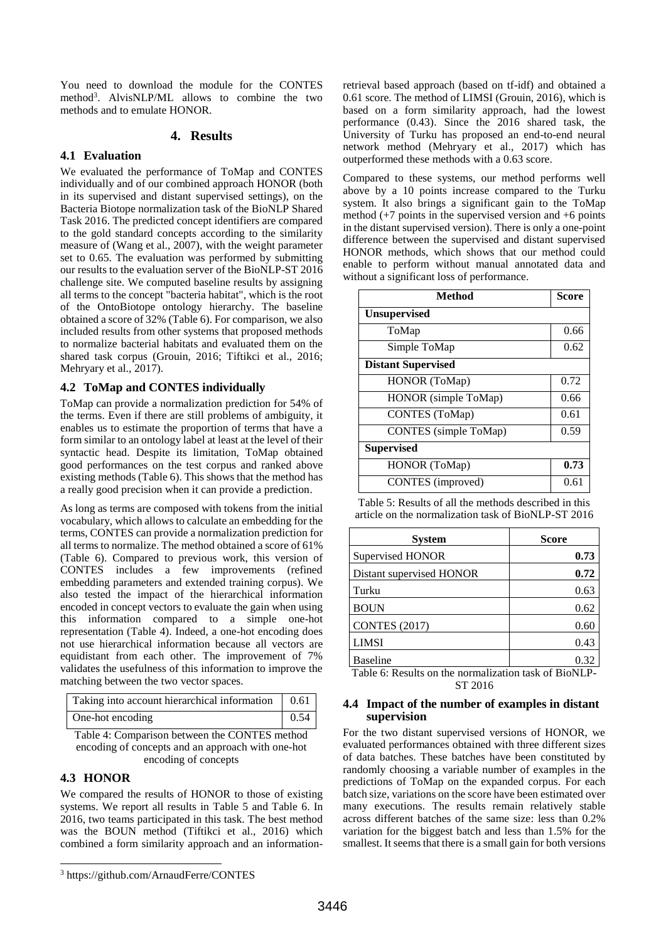You need to download the module for the CONTES method<sup>3</sup> . AlvisNLP/ML allows to combine the two methods and to emulate HONOR.

#### **4. Results**

#### **4.1 Evaluation**

We evaluated the performance of ToMap and CONTES individually and of our combined approach HONOR (both in its supervised and distant supervised settings), on the Bacteria Biotope normalization task of the BioNLP Shared Task 2016. The predicted concept identifiers are compared to the gold standard concepts according to the similarity measure of (Wang et al., 2007), with the weight parameter set to 0.65. The evaluation was performed by submitting our results to the evaluation server of the BioNLP-ST 2016 challenge site. We computed baseline results by assigning all terms to the concept "bacteria habitat", which is the root of the OntoBiotope ontology hierarchy. The baseline obtained a score of 32% [\(Table 6\)](#page-3-0). For comparison, we also included results from other systems that proposed methods to normalize bacterial habitats and evaluated them on the shared task corpus (Grouin, 2016; Tiftikci et al., 2016; Mehryary et al., 2017).

#### **4.2 ToMap and CONTES individually**

ToMap can provide a normalization prediction for 54% of the terms. Even if there are still problems of ambiguity, it enables us to estimate the proportion of terms that have a form similar to an ontology label at least at the level of their syntactic head. Despite its limitation, ToMap obtained good performances on the test corpus and ranked above existing methods [\(Table 6\)](#page-3-0). This shows that the method has a really good precision when it can provide a prediction.

As long as terms are composed with tokens from the initial vocabulary, which allows to calculate an embedding for the terms, CONTES can provide a normalization prediction for all terms to normalize. The method obtained a score of 61% [\(Table 6\)](#page-3-0). Compared to previous work, this version of CONTES includes a few improvements (refined embedding parameters and extended training corpus). We also tested the impact of the hierarchical information encoded in concept vectors to evaluate the gain when using this information compared to a simple one-hot representation [\(Table 4\)](#page-3-1). Indeed, a one-hot encoding does not use hierarchical information because all vectors are equidistant from each other. The improvement of 7% validates the usefulness of this information to improve the matching between the two vector spaces.

| Taking into account hierarchical information   0.61 |             |
|-----------------------------------------------------|-------------|
| One-hot encoding                                    | $\mid$ 0.54 |

<span id="page-3-1"></span>

| Table 4: Comparison between the CONTES method     |
|---------------------------------------------------|
| encoding of concepts and an approach with one-hot |
| encoding of concepts                              |

## **4.3 HONOR**

l

We compared the results of HONOR to those of existing systems. We report all results in [Table 5](#page-3-2) and [Table 6.](#page-3-0) In 2016, two teams participated in this task. The best method was the BOUN method (Tiftikci et al., 2016) which combined a form similarity approach and an information-

<sup>3</sup> https://github.com/ArnaudFerre/CONTES

retrieval based approach (based on tf-idf) and obtained a 0.61 score. The method of LIMSI (Grouin, 2016), which is based on a form similarity approach, had the lowest performance (0.43). Since the 2016 shared task, the University of Turku has proposed an end-to-end neural network method (Mehryary et al., 2017) which has outperformed these methods with a 0.63 score.

Compared to these systems, our method performs well above by a 10 points increase compared to the Turku system. It also brings a significant gain to the ToMap method  $(+7 \text{ points in the supervised version and } +6 \text{ points})$ in the distant supervised version). There is only a one-point difference between the supervised and distant supervised HONOR methods, which shows that our method could enable to perform without manual annotated data and without a significant loss of performance.

| Method                       | <b>Score</b> |
|------------------------------|--------------|
| <b>Unsupervised</b>          |              |
| ToMap                        | 0.66         |
| Simple ToMap                 | 0.62         |
| <b>Distant Supervised</b>    |              |
| HONOR (ToMap)                | 0.72         |
| HONOR (simple ToMap)         | 0.66         |
| CONTES (ToMap)               | 0.61         |
| <b>CONTES</b> (simple ToMap) | 0.59         |
| <b>Supervised</b>            |              |
| HONOR (ToMap)                | 0.73         |
| CONTES (improved)            | 0.61         |

<span id="page-3-2"></span>Table 5: Results of all the methods described in this article on the normalization task of BioNLP-ST 2016

| <b>System</b>                       | <b>Score</b>                         |  |
|-------------------------------------|--------------------------------------|--|
| Supervised HONOR                    | 0.73                                 |  |
| Distant supervised HONOR            | 0.72                                 |  |
| Turku                               | 0.63                                 |  |
| <b>BOUN</b>                         | 0.62                                 |  |
| <b>CONTES (2017)</b>                | 0.60                                 |  |
| <b>LIMSI</b>                        | 0.43                                 |  |
| <b>Baseline</b><br>. .<br>_________ | 0.32<br>. .<br><b>A EXAMPLE 1999</b> |  |

<span id="page-3-0"></span>Table 6: Results on the normalization task of BioNLP-ST 2016

#### **4.4 Impact of the number of examples in distant supervision**

For the two distant supervised versions of HONOR, we evaluated performances obtained with three different sizes of data batches. These batches have been constituted by randomly choosing a variable number of examples in the predictions of ToMap on the expanded corpus. For each batch size, variations on the score have been estimated over many executions. The results remain relatively stable across different batches of the same size: less than 0.2% variation for the biggest batch and less than 1.5% for the smallest. It seems that there is a small gain for both versions